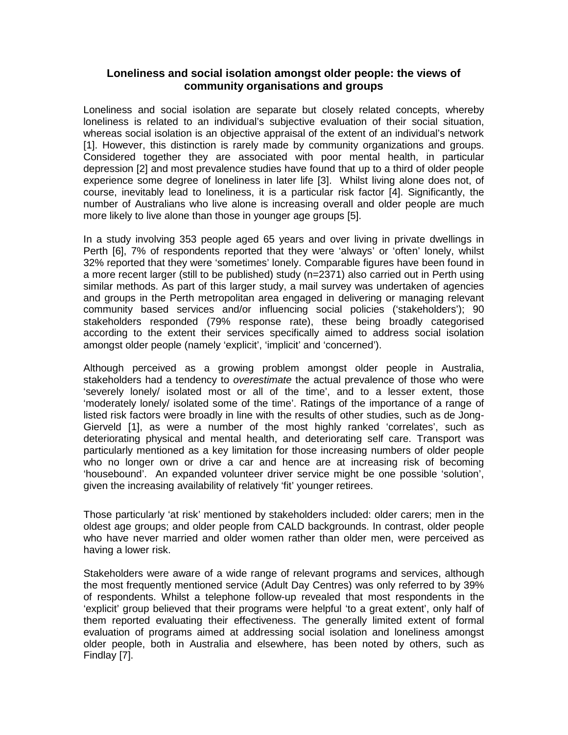## **Loneliness and social isolation amongst older people: the views of community organisations and groups**

Loneliness and social isolation are separate but closely related concepts, whereby loneliness is related to an individual's subjective evaluation of their social situation, whereas social isolation is an objective appraisal of the extent of an individual's network [1]. However, this distinction is rarely made by community organizations and groups. Considered together they are associated with poor mental health, in particular depression [2] and most prevalence studies have found that up to a third of older people experience some degree of loneliness in later life [3]. Whilst living alone does not, of course, inevitably lead to loneliness, it is a particular risk factor [4]. Significantly, the number of Australians who live alone is increasing overall and older people are much more likely to live alone than those in younger age groups [5].

In a study involving 353 people aged 65 years and over living in private dwellings in Perth [6], 7% of respondents reported that they were 'always' or 'often' lonely, whilst 32% reported that they were 'sometimes' lonely. Comparable figures have been found in a more recent larger (still to be published) study (n=2371) also carried out in Perth using similar methods. As part of this larger study, a mail survey was undertaken of agencies and groups in the Perth metropolitan area engaged in delivering or managing relevant community based services and/or influencing social policies ('stakeholders'); 90 stakeholders responded (79% response rate), these being broadly categorised according to the extent their services specifically aimed to address social isolation amongst older people (namely 'explicit', 'implicit' and 'concerned').

Although perceived as a growing problem amongst older people in Australia, stakeholders had a tendency to *overestimate* the actual prevalence of those who were 'severely lonely/ isolated most or all of the time', and to a lesser extent, those 'moderately lonely/ isolated some of the time'. Ratings of the importance of a range of listed risk factors were broadly in line with the results of other studies, such as de Jong-Gierveld [1], as were a number of the most highly ranked 'correlates', such as deteriorating physical and mental health, and deteriorating self care. Transport was particularly mentioned as a key limitation for those increasing numbers of older people who no longer own or drive a car and hence are at increasing risk of becoming 'housebound'. An expanded volunteer driver service might be one possible 'solution', given the increasing availability of relatively 'fit' younger retirees.

Those particularly 'at risk' mentioned by stakeholders included: older carers; men in the oldest age groups; and older people from CALD backgrounds. In contrast, older people who have never married and older women rather than older men, were perceived as having a lower risk.

Stakeholders were aware of a wide range of relevant programs and services, although the most frequently mentioned service (Adult Day Centres) was only referred to by 39% of respondents. Whilst a telephone follow-up revealed that most respondents in the 'explicit' group believed that their programs were helpful 'to a great extent', only half of them reported evaluating their effectiveness. The generally limited extent of formal evaluation of programs aimed at addressing social isolation and loneliness amongst older people, both in Australia and elsewhere, has been noted by others, such as Findlay [7].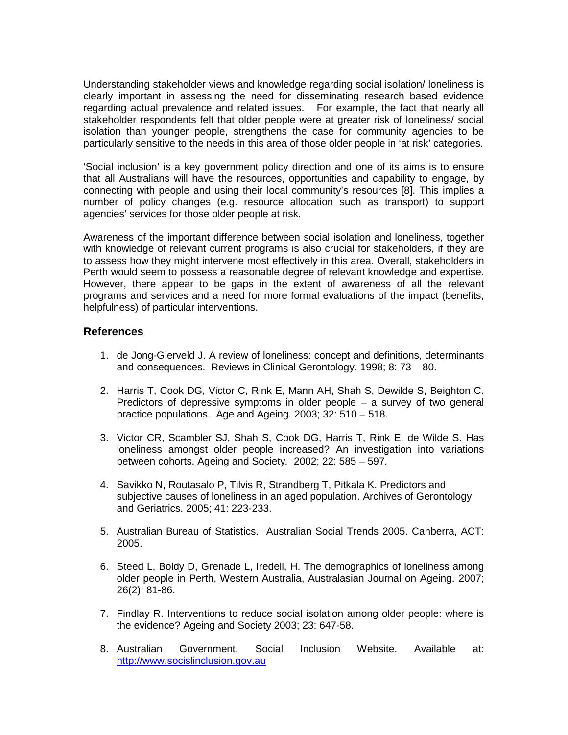Understanding stakeholder views and knowledge regarding social isolation/ loneliness is clearly important in assessing the need for disseminating research based evidence regarding actual prevalence and related issues. For example, the fact that nearly all stakeholder respondents felt that older people were at greater risk of loneliness/ social isolation than younger people, strengthens the case for community agencies to be particularly sensitive to the needs in this area of those older people in 'at risk' categories.

'Social inclusion' is a key government policy direction and one of its aims is to ensure that all Australians will have the resources, opportunities and capability to engage, by connecting with people and using their local community's resources [8]. This implies a number of policy changes (e.g. resource allocation such as transport) to support agencies' services for those older people at risk.

Awareness of the important difference between social isolation and loneliness, together with knowledge of relevant current programs is also crucial for stakeholders, if they are to assess how they might intervene most effectively in this area. Overall, stakeholders in Perth would seem to possess a reasonable degree of relevant knowledge and expertise. However, there appear to be gaps in the extent of awareness of all the relevant programs and services and a need for more formal evaluations of the impact (benefits, helpfulness) of particular interventions.

## **References**

- 1. de Jong-Gierveld J. A review of loneliness: concept and definitions, determinants and consequences. Reviews in Clinical Gerontology*.* 1998; 8: 73 – 80.
- 2. Harris T, Cook DG, Victor C, Rink E, Mann AH, Shah S, Dewilde S, Beighton C. Predictors of depressive symptoms in older people – a survey of two general practice populations. Age and Ageing*.* 2003; 32: 510 – 518.
- 3. Victor CR, Scambler SJ, Shah S, Cook DG, Harris T, Rink E, de Wilde S. Has loneliness amongst older people increased? An investigation into variations between cohorts. Ageing and Society*.* 2002; 22: 585 – 597.
- 4. Savikko N, Routasalo P, Tilvis R, Strandberg T, Pitkala K. Predictors and subjective causes of loneliness in an aged population. Archives of Gerontology and Geriatrics. 2005; 41: 223-233.
- 5. Australian Bureau of Statistics. Australian Social Trends 2005. Canberra, ACT: 2005.
- 6. Steed L, Boldy D, Grenade L, Iredell, H. The demographics of loneliness among older people in Perth, Western Australia, Australasian Journal on Ageing. 2007; 26(2): 81-86.
- 7. Findlay R. Interventions to reduce social isolation among older people: where is the evidence? Ageing and Society 2003; 23: 647-58.
- 8. Australian Government. Social Inclusion Website. Available at: [http://www.socislinclusion.gov.au](http://www.socislinclusion.gov.au/)